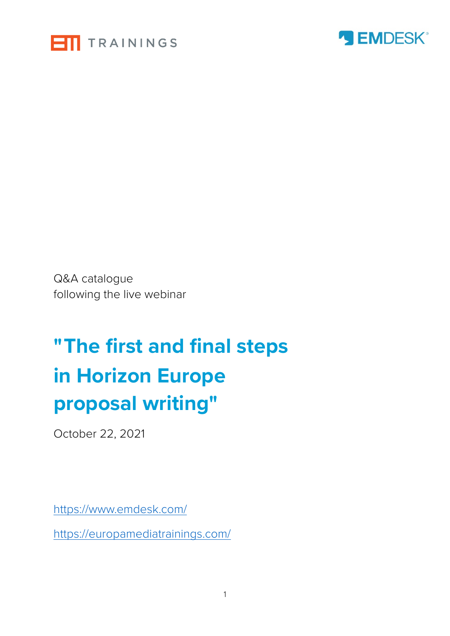



Q&A catalogue following the live webinar

## **"The first and final steps in Horizon Europe proposal writing"**

October 22, 2021

<https://www.emdesk.com/>

<https://europamediatrainings.com/>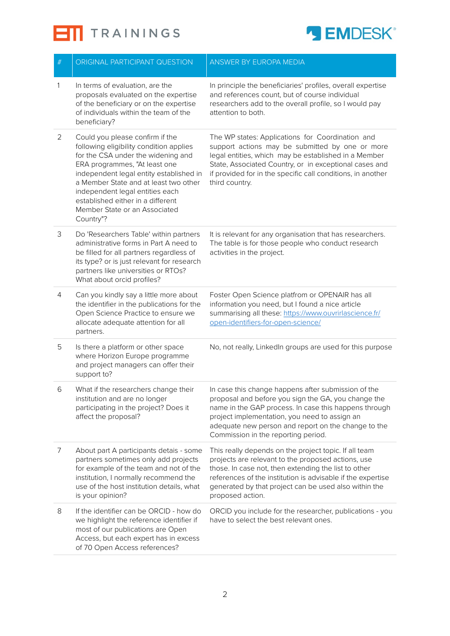



| $\#$ | ORIGINAL PARTICIPANT QUESTION                                                                                                                                                                                                                                                                                                                               | ANSWER BY EUROPA MEDIA                                                                                                                                                                                                                                                                                             |
|------|-------------------------------------------------------------------------------------------------------------------------------------------------------------------------------------------------------------------------------------------------------------------------------------------------------------------------------------------------------------|--------------------------------------------------------------------------------------------------------------------------------------------------------------------------------------------------------------------------------------------------------------------------------------------------------------------|
| 1    | In terms of evaluation, are the<br>proposals evaluated on the expertise<br>of the beneficiary or on the expertise<br>of individuals within the team of the<br>beneficiary?                                                                                                                                                                                  | In principle the beneficiaries' profiles, overall expertise<br>and references count, but of course individual<br>researchers add to the overall profile, so I would pay<br>attention to both.                                                                                                                      |
| 2    | Could you please confirm if the<br>following eligibility condition applies<br>for the CSA under the widening and<br>ERA programmes, "At least one<br>independent legal entity established in<br>a Member State and at least two other<br>independent legal entities each<br>established either in a different<br>Member State or an Associated<br>Country"? | The WP states: Applications for Coordination and<br>support actions may be submitted by one or more<br>legal entities, which may be established in a Member<br>State, Associated Country, or in exceptional cases and<br>if provided for in the specific call conditions, in another<br>third country.             |
| 3    | Do 'Researchers Table' within partners<br>administrative forms in Part A need to<br>be filled for all partners regardless of<br>its type? or is just relevant for research<br>partners like universities or RTOs?<br>What about orcid profiles?                                                                                                             | It is relevant for any organisation that has researchers.<br>The table is for those people who conduct research<br>activities in the project.                                                                                                                                                                      |
| 4    | Can you kindly say a little more about<br>the identifier in the publications for the<br>Open Science Practice to ensure we<br>allocate adequate attention for all<br>partners.                                                                                                                                                                              | Foster Open Science platfrom or OPENAIR has all<br>information you need, but I found a nice article<br>summarising all these: https://www.ouvrirlascience.fr/<br>open-identifiers-for-open-science/                                                                                                                |
| 5    | Is there a platform or other space<br>where Horizon Europe programme<br>and project managers can offer their<br>support to?                                                                                                                                                                                                                                 | No, not really, LinkedIn groups are used for this purpose                                                                                                                                                                                                                                                          |
| 6    | What if the researchers change their<br>institution and are no longer<br>participating in the project? Does it<br>affect the proposal?                                                                                                                                                                                                                      | In case this change happens after submission of the<br>proposal and before you sign the GA, you change the<br>name in the GAP process. In case this happens through<br>project implementation, you need to assign an<br>adequate new person and report on the change to the<br>Commission in the reporting period. |
| 7    | About part A participants detais - some<br>partners sometimes only add projects<br>for example of the team and not of the<br>institution, I normally recommend the<br>use of the host institution details, what<br>is your opinion?                                                                                                                         | This really depends on the project topic. If all team<br>projects are relevant to the proposed actions, use<br>those. In case not, then extending the list to other<br>references of the institution is advisable if the expertise<br>generated by that project can be used also within the<br>proposed action.    |
| 8    | If the identifier can be ORCID - how do<br>we highlight the reference identifier if<br>most of our publications are Open<br>Access, but each expert has in excess<br>of 70 Open Access references?                                                                                                                                                          | ORCID you include for the researcher, publications - you<br>have to select the best relevant ones.                                                                                                                                                                                                                 |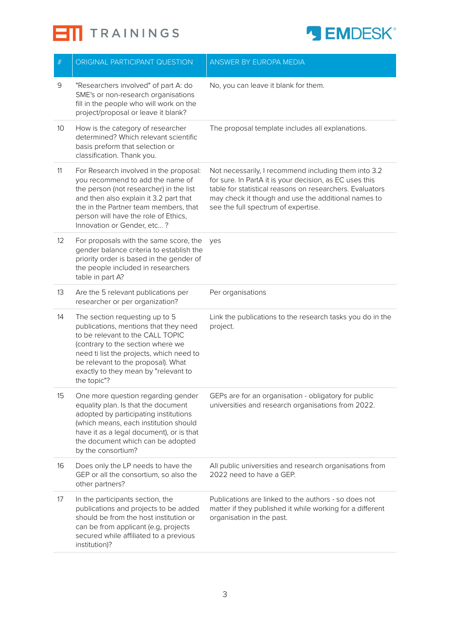**ETI** TRAININGS



| $\#$ | ORIGINAL PARTICIPANT QUESTION                                                                                                                                                                                                                                                             | ANSWER BY EUROPA MEDIA                                                                                                                                                                                                                                                    |
|------|-------------------------------------------------------------------------------------------------------------------------------------------------------------------------------------------------------------------------------------------------------------------------------------------|---------------------------------------------------------------------------------------------------------------------------------------------------------------------------------------------------------------------------------------------------------------------------|
| 9    | "Researchers involved" of part A: do<br>SME's or non-research organisations<br>fill in the people who will work on the<br>project/proposal or leave it blank?                                                                                                                             | No, you can leave it blank for them.                                                                                                                                                                                                                                      |
| 10   | How is the category of researcher<br>determined? Which relevant scientific<br>basis preform that selection or<br>classification. Thank you.                                                                                                                                               | The proposal template includes all explanations.                                                                                                                                                                                                                          |
| 11   | For Research involved in the proposal:<br>you recommend to add the name of<br>the person (not researcher) in the list<br>and then also explain it 3.2 part that<br>the in the Partner team members, that<br>person will have the role of Ethics,<br>Innovation or Gender, etc?            | Not necessarily, I recommend including them into 3.2<br>for sure. In PartA it is your decision, as EC uses this<br>table for statistical reasons on researchers. Evaluators<br>may check it though and use the additional names to<br>see the full spectrum of expertise. |
| 12   | For proposals with the same score, the<br>gender balance criteria to establish the<br>priority order is based in the gender of<br>the people included in researchers<br>table in part A?                                                                                                  | yes                                                                                                                                                                                                                                                                       |
| 13   | Are the 5 relevant publications per<br>researcher or per organization?                                                                                                                                                                                                                    | Per organisations                                                                                                                                                                                                                                                         |
| 14   | The section requesting up to 5<br>publications, mentions that they need<br>to be relevant to the CALL TOPIC<br>(contrary to the section where we<br>need ti list the projects, which need to<br>be relevant to the proposal). What<br>exactly to they mean by "relevant to<br>the topic"? | Link the publications to the research tasks you do in the<br>project.                                                                                                                                                                                                     |
| 15   | One more question regarding gender<br>equality plan. Is that the document<br>adopted by participating institutions<br>(which means, each institution should<br>have it as a legal document), or is that<br>the document which can be adopted<br>by the consortium?                        | GEPs are for an organisation - obligatory for public<br>universities and research organisations from 2022.                                                                                                                                                                |
| 16   | Does only the LP needs to have the<br>GEP or all the consortium, so also the<br>other partners?                                                                                                                                                                                           | All public universities and research organisations from<br>2022 need to have a GEP.                                                                                                                                                                                       |
| 17   | In the participants section, the<br>publications and projects to be added<br>should be from the host institution or<br>can be from applicant (e.g, projects<br>secured while affiliated to a previous<br>institution)?                                                                    | Publications are linked to the authors - so does not<br>matter if they published it while working for a different<br>organisation in the past.                                                                                                                            |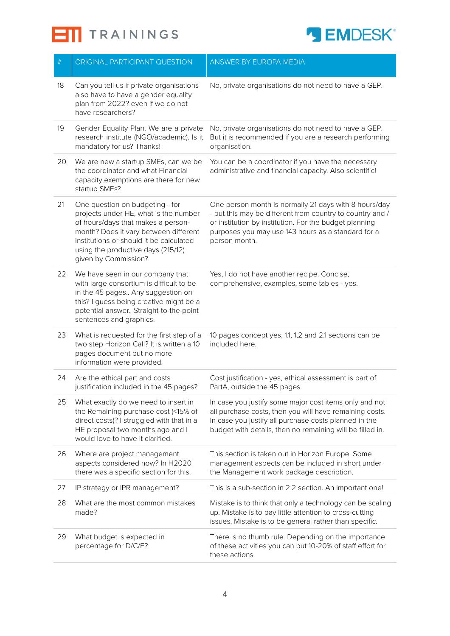



| $\#$ | ORIGINAL PARTICIPANT QUESTION                                                                                                                                                                                                                                    | <b>ANSWER BY EUROPA MEDIA</b>                                                                                                                                                                                                                       |
|------|------------------------------------------------------------------------------------------------------------------------------------------------------------------------------------------------------------------------------------------------------------------|-----------------------------------------------------------------------------------------------------------------------------------------------------------------------------------------------------------------------------------------------------|
| 18   | Can you tell us if private organisations<br>also have to have a gender equality<br>plan from 2022? even if we do not<br>have researchers?                                                                                                                        | No, private organisations do not need to have a GEP.                                                                                                                                                                                                |
| 19   | Gender Equality Plan. We are a private<br>research institute (NGO/academic). Is it<br>mandatory for us? Thanks!                                                                                                                                                  | No, private organisations do not need to have a GEP.<br>But it is recommended if you are a research performing<br>organisation.                                                                                                                     |
| 20   | We are new a startup SMEs, can we be<br>the coordinator and what Financial<br>capacity exemptions are there for new<br>startup SMEs?                                                                                                                             | You can be a coordinator if you have the necessary<br>administrative and financial capacity. Also scientific!                                                                                                                                       |
| 21   | One question on budgeting - for<br>projects under HE, what is the number<br>of hours/days that makes a person-<br>month? Does it vary between different<br>institutions or should it be calculated<br>using the productive days (215/12)<br>given by Commission? | One person month is normally 21 days with 8 hours/day<br>- but this may be different from country to country and /<br>or institution by institution. For the budget planning<br>purposes you may use 143 hours as a standard for a<br>person month. |
| 22   | We have seen in our company that<br>with large consortium is difficult to be<br>in the 45 pages Any suggestion on<br>this? I guess being creative might be a<br>potential answer Straight-to-the-point<br>sentences and graphics.                                | Yes, I do not have another recipe. Concise,<br>comprehensive, examples, some tables - yes.                                                                                                                                                          |
| 23   | What is requested for the first step of a<br>two step Horizon Call? It is written a 10<br>pages document but no more<br>information were provided.                                                                                                               | 10 pages concept yes, 1.1, 1,2 and 2.1 sections can be<br>included here.                                                                                                                                                                            |
| 24   | Are the ethical part and costs<br>justification included in the 45 pages?                                                                                                                                                                                        | Cost justification - yes, ethical assessment is part of<br>PartA, outside the 45 pages.                                                                                                                                                             |
| 25   | What exactly do we need to insert in<br>the Remaining purchase cost (<15% of<br>direct costs)? I struggled with that in a<br>HE proposal two months ago and I<br>would love to have it clarified.                                                                | In case you justify some major cost items only and not<br>all purchase costs, then you will have remaining costs.<br>In case you justify all purchase costs planned in the<br>budget with details, then no remaining will be filled in.             |
| 26   | Where are project management<br>aspects considered now? In H2020<br>there was a specific section for this.                                                                                                                                                       | This section is taken out in Horizon Europe. Some<br>management aspects can be included in short under<br>the Management work package description.                                                                                                  |
| 27   | IP strategy or IPR management?                                                                                                                                                                                                                                   | This is a sub-section in 2.2 section. An important one!                                                                                                                                                                                             |
| 28   | What are the most common mistakes<br>made?                                                                                                                                                                                                                       | Mistake is to think that only a technology can be scaling<br>up. Mistake is to pay little attention to cross-cutting<br>issues. Mistake is to be general rather than specific.                                                                      |
| 29   | What budget is expected in<br>percentage for D/C/E?                                                                                                                                                                                                              | There is no thumb rule. Depending on the importance<br>of these activities you can put 10-20% of staff effort for<br>these actions.                                                                                                                 |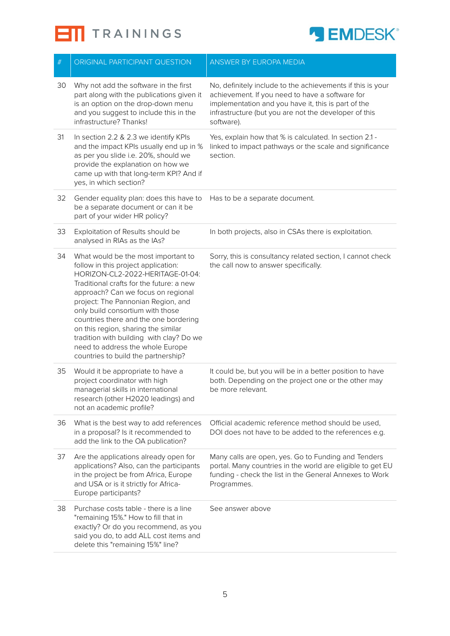



| $\#$ | ORIGINAL PARTICIPANT QUESTION                                                                                                                                                                                                                                                                                                                                                                                                                                                     | ANSWER BY EUROPA MEDIA                                                                                                                                                                                                                      |
|------|-----------------------------------------------------------------------------------------------------------------------------------------------------------------------------------------------------------------------------------------------------------------------------------------------------------------------------------------------------------------------------------------------------------------------------------------------------------------------------------|---------------------------------------------------------------------------------------------------------------------------------------------------------------------------------------------------------------------------------------------|
| 30   | Why not add the software in the first<br>part along with the publications given it<br>is an option on the drop-down menu<br>and you suggest to include this in the<br>infrastructure? Thanks!                                                                                                                                                                                                                                                                                     | No, definitely include to the achievements if this is your<br>achievement. If you need to have a software for<br>implementation and you have it, this is part of the<br>infrastructure (but you are not the developer of this<br>software). |
| 31   | In section 2.2 & 2.3 we identify KPIs<br>and the impact KPIs usually end up in %<br>as per you slide i.e. 20%, should we<br>provide the explanation on how we<br>came up with that long-term KPI? And if<br>yes, in which section?                                                                                                                                                                                                                                                | Yes, explain how that % is calculated. In section 2.1 -<br>linked to impact pathways or the scale and significance<br>section.                                                                                                              |
| 32   | Gender equality plan: does this have to<br>be a separate document or can it be<br>part of your wider HR policy?                                                                                                                                                                                                                                                                                                                                                                   | Has to be a separate document.                                                                                                                                                                                                              |
| 33   | Exploitation of Results should be<br>analysed in RIAs as the IAs?                                                                                                                                                                                                                                                                                                                                                                                                                 | In both projects, also in CSAs there is exploitation.                                                                                                                                                                                       |
| 34   | What would be the most important to<br>follow in this project application:<br>HORIZON-CL2-2022-HERITAGE-01-04:<br>Traditional crafts for the future: a new<br>approach? Can we focus on regional<br>project: The Pannonian Region, and<br>only build consortium with those<br>countries there and the one bordering<br>on this region, sharing the similar<br>tradition with building with clay? Do we<br>need to address the whole Europe<br>countries to build the partnership? | Sorry, this is consultancy related section, I cannot check<br>the call now to answer specifically.                                                                                                                                          |
| 35   | Would it be appropriate to have a<br>project coordinator with high<br>managerial skills in international<br>research (other H2020 leadings) and<br>not an academic profile?                                                                                                                                                                                                                                                                                                       | It could be, but you will be in a better position to have<br>both. Depending on the project one or the other may<br>be more relevant.                                                                                                       |
| 36   | What is the best way to add references<br>in a proposal? Is it recommended to<br>add the link to the OA publication?                                                                                                                                                                                                                                                                                                                                                              | Official academic reference method should be used,<br>DOI does not have to be added to the references e.g.                                                                                                                                  |
| 37   | Are the applications already open for<br>applications? Also, can the participants<br>in the project be from Africa, Europe<br>and USA or is it strictly for Africa-<br>Europe participants?                                                                                                                                                                                                                                                                                       | Many calls are open, yes. Go to Funding and Tenders<br>portal. Many countries in the world are eligible to get EU<br>funding - check the list in the General Annexes to Work<br>Programmes.                                                 |
| 38   | Purchase costs table - there is a line<br>"remaining 15%." How to fill that in<br>exactly? Or do you recommend, as you<br>said you do, to add ALL cost items and<br>delete this "remaining 15%" line?                                                                                                                                                                                                                                                                             | See answer above                                                                                                                                                                                                                            |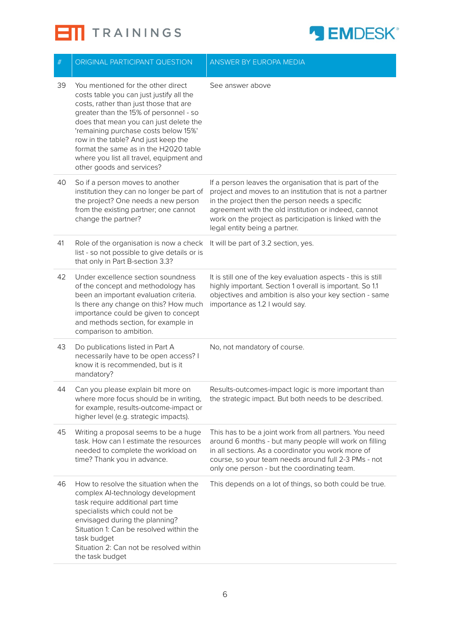**ETI** TRAININGS



| $\#$ | ORIGINAL PARTICIPANT QUESTION                                                                                                                                                                                                                                                                                                                                                                                 | <b>ANSWER BY EUROPA MEDIA</b>                                                                                                                                                                                                                                                                                               |
|------|---------------------------------------------------------------------------------------------------------------------------------------------------------------------------------------------------------------------------------------------------------------------------------------------------------------------------------------------------------------------------------------------------------------|-----------------------------------------------------------------------------------------------------------------------------------------------------------------------------------------------------------------------------------------------------------------------------------------------------------------------------|
| 39   | You mentioned for the other direct<br>costs table you can just justify all the<br>costs, rather than just those that are<br>greater than the 15% of personnel - so<br>does that mean you can just delete the<br>'remaining purchase costs below 15%'<br>row in the table? And just keep the<br>format the same as in the H2020 table<br>where you list all travel, equipment and<br>other goods and services? | See answer above                                                                                                                                                                                                                                                                                                            |
| 40   | So if a person moves to another<br>institution they can no longer be part of<br>the project? One needs a new person<br>from the existing partner; one cannot<br>change the partner?                                                                                                                                                                                                                           | If a person leaves the organisation that is part of the<br>project and moves to an institution that is not a partner<br>in the project then the person needs a specific<br>agreement with the old institution or indeed, cannot<br>work on the project as participation is linked with the<br>legal entity being a partner. |
| 41   | Role of the organisation is now a check<br>list - so not possible to give details or is<br>that only in Part B-section 3.3?                                                                                                                                                                                                                                                                                   | It will be part of 3.2 section, yes.                                                                                                                                                                                                                                                                                        |
| 42   | Under excellence section soundness<br>of the concept and methodology has<br>been an important evaluation criteria.<br>Is there any change on this? How much<br>importance could be given to concept<br>and methods section, for example in<br>comparison to ambition.                                                                                                                                         | It is still one of the key evaluation aspects - this is still<br>highly important. Section 1 overall is important. So 1.1<br>objectives and ambition is also your key section - same<br>importance as 1.2 I would say.                                                                                                      |
| 43   | Do publications listed in Part A<br>necessarily have to be open access? I<br>know it is recommended, but is it<br>mandatory?                                                                                                                                                                                                                                                                                  | No, not mandatory of course.                                                                                                                                                                                                                                                                                                |
| 44   | Can you please explain bit more on<br>where more focus should be in writing,<br>for example, results-outcome-impact or<br>higher level (e.g. strategic impacts).                                                                                                                                                                                                                                              | Results-outcomes-impact logic is more important than<br>the strategic impact. But both needs to be described.                                                                                                                                                                                                               |
| 45   | Writing a proposal seems to be a huge<br>task. How can I estimate the resources<br>needed to complete the workload on<br>time? Thank you in advance.                                                                                                                                                                                                                                                          | This has to be a joint work from all partners. You need<br>around 6 months - but many people will work on filling<br>in all sections. As a coordinator you work more of<br>course, so your team needs around full 2-3 PMs - not<br>only one person - but the coordinating team.                                             |
| 46   | How to resolve the situation when the<br>complex Al-technology development<br>task require additional part time<br>specialists which could not be<br>envisaged during the planning?<br>Situation 1: Can be resolved within the<br>task budget<br>Situation 2: Can not be resolved within<br>the task budget                                                                                                   | This depends on a lot of things, so both could be true.                                                                                                                                                                                                                                                                     |